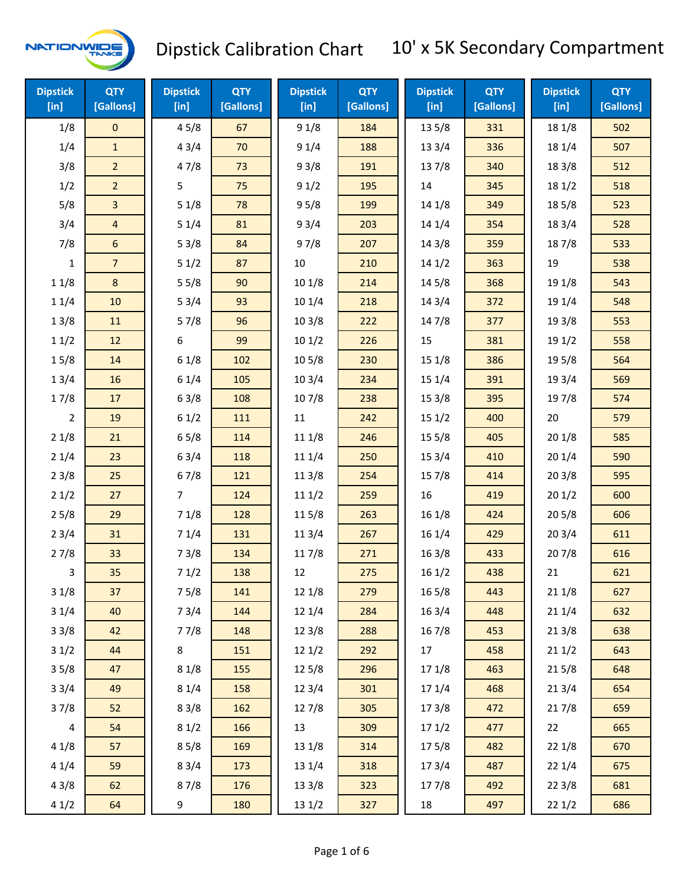

| <b>Dipstick</b><br>$[$ in] | <b>QTY</b><br>[Gallons] | <b>Dipstick</b><br>[in] | <b>QTY</b><br>[Gallons] | <b>Dipstick</b><br>$[$ in] | <b>QTY</b><br>[Gallons] | <b>Dipstick</b><br>$[$ in] | <b>QTY</b><br>[Gallons] | <b>Dipstick</b><br>[in] | <b>QTY</b><br>[Gallons] |
|----------------------------|-------------------------|-------------------------|-------------------------|----------------------------|-------------------------|----------------------------|-------------------------|-------------------------|-------------------------|
| 1/8                        | $\mathbf 0$             | 45/8                    | 67                      | 91/8                       | 184                     | 13 5/8                     | 331                     | 18 1/8                  | 502                     |
| 1/4                        | $\mathbf{1}$            | 43/4                    | 70                      | 91/4                       | 188                     | 133/4                      | 336                     | 18 1/4                  | 507                     |
| 3/8                        | $\overline{2}$          | 47/8                    | 73                      | 93/8                       | 191                     | 137/8                      | 340                     | 18 3/8                  | 512                     |
| 1/2                        | $\overline{2}$          | 5                       | 75                      | 91/2                       | 195                     | 14                         | 345                     | 18 1/2                  | 518                     |
| 5/8                        | 3                       | 51/8                    | 78                      | 95/8                       | 199                     | 14 1/8                     | 349                     | 185/8                   | 523                     |
| 3/4                        | $\overline{4}$          | 51/4                    | 81                      | 93/4                       | 203                     | 14 1/4                     | 354                     | 183/4                   | 528                     |
| 7/8                        | $\boldsymbol{6}$        | 53/8                    | 84                      | 97/8                       | 207                     | 14 3/8                     | 359                     | 187/8                   | 533                     |
| $\mathbf{1}$               | $\overline{7}$          | 51/2                    | 87                      | 10                         | 210                     | 141/2                      | 363                     | 19                      | 538                     |
| 11/8                       | 8                       | 55/8                    | 90                      | 101/8                      | 214                     | 14 5/8                     | 368                     | 19 1/8                  | 543                     |
| 11/4                       | 10                      | 53/4                    | 93                      | 101/4                      | 218                     | 14 3/4                     | 372                     | 19 1/4                  | 548                     |
| 13/8                       | 11                      | 57/8                    | 96                      | 103/8                      | 222                     | 147/8                      | 377                     | 19 3/8                  | 553                     |
| 11/2                       | 12                      | 6                       | 99                      | 101/2                      | 226                     | 15                         | 381                     | 19 1/2                  | 558                     |
| 15/8                       | 14                      | 61/8                    | 102                     | 10 <sub>5</sub> /8         | 230                     | 15 1/8                     | 386                     | 19 5/8                  | 564                     |
| 13/4                       | 16                      | 61/4                    | 105                     | 103/4                      | 234                     | 15 1/4                     | 391                     | 19 3/4                  | 569                     |
| 17/8                       | 17                      | 63/8                    | 108                     | 107/8                      | 238                     | 15 3/8                     | 395                     | 197/8                   | 574                     |
| $\overline{2}$             | 19                      | 61/2                    | 111                     | $11\,$                     | 242                     | 151/2                      | 400                     | 20                      | 579                     |
| 21/8                       | 21                      | 65/8                    | 114                     | 11 1/8                     | 246                     | 15 5/8                     | 405                     | 201/8                   | 585                     |
| 21/4                       | 23                      | 63/4                    | 118                     | 11 1/4                     | 250                     | 15 3/4                     | 410                     | 201/4                   | 590                     |
| 23/8                       | 25                      | 67/8                    | 121                     | 11 3/8                     | 254                     | 15 7/8                     | 414                     | 203/8                   | 595                     |
| 21/2                       | 27                      | $\overline{7}$          | 124                     | 111/2                      | 259                     | 16                         | 419                     | 201/2                   | 600                     |
| 25/8                       | 29                      | 71/8                    | 128                     | 11 5/8                     | 263                     | 16 1/8                     | 424                     | 205/8                   | 606                     |
| 23/4                       | 31                      | 71/4                    | 131                     | 113/4                      | 267                     | 16 1/4                     | 429                     | 203/4                   | 611                     |
| 27/8                       | 33                      | 73/8                    | 134                     | 11 7/8                     | 271                     | 16 3/8                     | 433                     | 207/8                   | 616                     |
| 3                          | 35                      | 71/2                    | 138                     | 12                         | 275                     | 161/2                      | 438                     | 21                      | 621                     |
| 31/8                       | 37                      | 75/8                    | 141                     | 121/8                      | 279                     | 16 5/8                     | 443                     | 211/8                   | 627                     |
| 31/4                       | 40                      | 73/4                    | 144                     | 12 1/4                     | 284                     | 16 3/4                     | 448                     | 211/4                   | 632                     |
| 33/8                       | 42                      | 77/8                    | 148                     | 12 3/8                     | 288                     | 16 7/8                     | 453                     | 213/8                   | 638                     |
| 31/2                       | 44                      | 8                       | 151                     | 121/2                      | 292                     | 17                         | 458                     | 211/2                   | 643                     |
| 35/8                       | 47                      | 81/8                    | 155                     | 12 5/8                     | 296                     | 17 1/8                     | 463                     | 215/8                   | 648                     |
| 33/4                       | 49                      | 81/4                    | 158                     | 123/4                      | 301                     | 17 1/4                     | 468                     | 213/4                   | 654                     |
| 37/8                       | 52                      | 83/8                    | 162                     | 127/8                      | 305                     | 173/8                      | 472                     | 217/8                   | 659                     |
| 4                          | 54                      | 81/2                    | 166                     | 13                         | 309                     | 171/2                      | 477                     | 22                      | 665                     |
| 41/8                       | 57                      | 85/8                    | 169                     | 13 1/8                     | 314                     | 175/8                      | 482                     | 221/8                   | 670                     |
| 41/4                       | 59                      | 83/4                    | 173                     | 13 1/4                     | 318                     | 17 3/4                     | 487                     | 221/4                   | 675                     |
| 43/8                       | 62                      | 87/8                    | 176                     | 13 3/8                     | 323                     | 177/8                      | 492                     | 223/8                   | 681                     |
| 41/2                       | 64                      | 9                       | 180                     | 13 1/2                     | 327                     | 18                         | 497                     | 221/2                   | 686                     |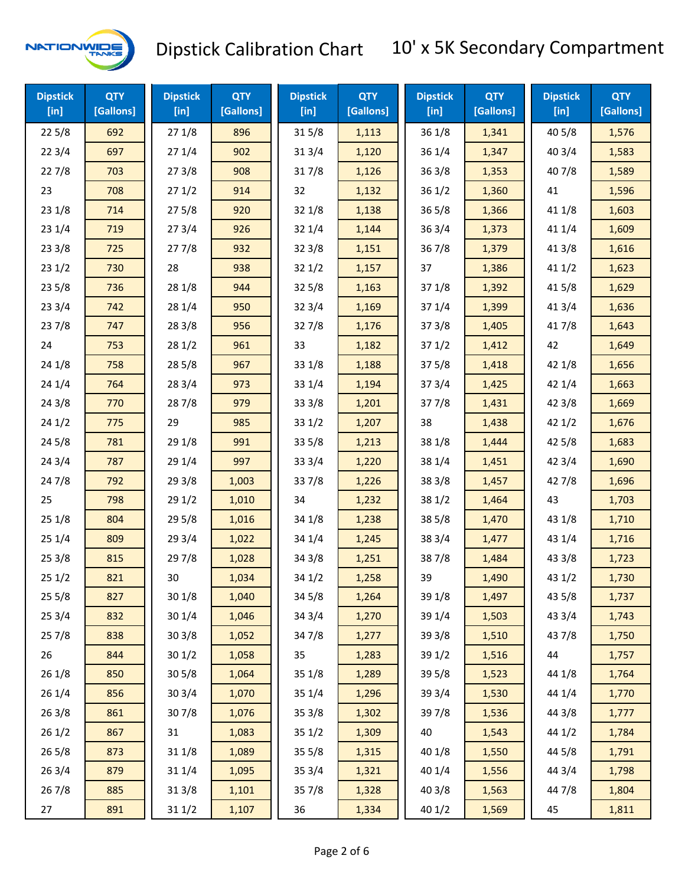

| <b>Dipstick</b><br>$[$ in] | <b>QTY</b><br>[Gallons] | <b>Dipstick</b><br>$[$ in] | <b>QTY</b><br>[Gallons] | <b>Dipstick</b><br>[in] | <b>QTY</b><br>[Gallons] | <b>Dipstick</b><br>$\overline{[}$ in] | <b>QTY</b><br>[Gallons] | <b>Dipstick</b><br>$[$ in] | <b>QTY</b><br>[Gallons] |
|----------------------------|-------------------------|----------------------------|-------------------------|-------------------------|-------------------------|---------------------------------------|-------------------------|----------------------------|-------------------------|
| 225/8                      | 692                     | 271/8                      | 896                     | 315/8                   | 1,113                   | 36 1/8                                | 1,341                   | 40 5/8                     | 1,576                   |
| 223/4                      | 697                     | 271/4                      | 902                     | 313/4                   | 1,120                   | 36 1/4                                | 1,347                   | 403/4                      | 1,583                   |
| 227/8                      | 703                     | 273/8                      | 908                     | 317/8                   | 1,126                   | 363/8                                 | 1,353                   | 407/8                      | 1,589                   |
| 23                         | 708                     | 271/2                      | 914                     | 32                      | 1,132                   | 361/2                                 | 1,360                   | 41                         | 1,596                   |
| 23 1/8                     | 714                     | 275/8                      | 920                     | 32 1/8                  | 1,138                   | 36 5/8                                | 1,366                   | 41 1/8                     | 1,603                   |
| 23 1/4                     | 719                     | 273/4                      | 926                     | 321/4                   | 1,144                   | 363/4                                 | 1,373                   | 41 1/4                     | 1,609                   |
| 23 3/8                     | 725                     | 277/8                      | 932                     | 323/8                   | 1,151                   | 367/8                                 | 1,379                   | 413/8                      | 1,616                   |
| 231/2                      | 730                     | 28                         | 938                     | 321/2                   | 1,157                   | 37                                    | 1,386                   | 411/2                      | 1,623                   |
| 235/8                      | 736                     | 28 1/8                     | 944                     | $32\,5/8$               | 1,163                   | 37 1/8                                | 1,392                   | 41 5/8                     | 1,629                   |
| 233/4                      | 742                     | 28 1/4                     | 950                     | 323/4                   | 1,169                   | 371/4                                 | 1,399                   | 41 3/4                     | 1,636                   |
| 237/8                      | 747                     | 28 3/8                     | 956                     | 327/8                   | 1,176                   | 373/8                                 | 1,405                   | 417/8                      | 1,643                   |
| 24                         | 753                     | 281/2                      | 961                     | 33                      | 1,182                   | 371/2                                 | 1,412                   | 42                         | 1,649                   |
| 24 1/8                     | 758                     | 28 5/8                     | 967                     | 331/8                   | 1,188                   | 375/8                                 | 1,418                   | 42 1/8                     | 1,656                   |
| 24 1/4                     | 764                     | 28 3/4                     | 973                     | 33 1/4                  | 1,194                   | 37 3/4                                | 1,425                   | 42 1/4                     | 1,663                   |
| 24 3/8                     | 770                     | 287/8                      | 979                     | 33 3/8                  | 1,201                   | 377/8                                 | 1,431                   | 42 3/8                     | 1,669                   |
| 241/2                      | 775                     | 29                         | 985                     | 331/2                   | 1,207                   | 38                                    | 1,438                   | 421/2                      | 1,676                   |
| 245/8                      | 781                     | 29 1/8                     | 991                     | 33 5/8                  | 1,213                   | 38 1/8                                | 1,444                   | 42 5/8                     | 1,683                   |
| 24 3/4                     | 787                     | 29 1/4                     | 997                     | 33 3/4                  | 1,220                   | 38 1/4                                | 1,451                   | 42 3/4                     | 1,690                   |
| 24 7/8                     | 792                     | 293/8                      | 1,003                   | 337/8                   | 1,226                   | 38 3/8                                | 1,457                   | 42 7/8                     | 1,696                   |
| 25                         | 798                     | 29 1/2                     | 1,010                   | 34                      | 1,232                   | 38 1/2                                | 1,464                   | 43                         | 1,703                   |
| 251/8                      | 804                     | 29 5/8                     | 1,016                   | 34 1/8                  | 1,238                   | 38 5/8                                | 1,470                   | 43 1/8                     | 1,710                   |
| 251/4                      | 809                     | 29 3/4                     | 1,022                   | 34 1/4                  | 1,245                   | 38 3/4                                | 1,477                   | 43 1/4                     | 1,716                   |
| 253/8                      | 815                     | 29 7/8                     | 1,028                   | 34 3/8                  | 1,251                   | 387/8                                 | 1,484                   | 43 3/8                     | 1,723                   |
| 251/2                      | 821                     | 30                         | 1,034                   | 341/2                   | 1,258                   | 39                                    | 1,490                   | 431/2                      | 1,730                   |
| 255/8                      | 827                     | 301/8                      | 1,040                   | 34 5/8                  | 1,264                   | 39 1/8                                | 1,497                   | 43 5/8                     | 1,737                   |
| 253/4                      | 832                     | 30 1/4                     | 1,046                   | 34 3/4                  | 1,270                   | 39 1/4                                | 1,503                   | 43 3/4                     | 1,743                   |
| 257/8                      | 838                     | 303/8                      | 1,052                   | 347/8                   | 1,277                   | 39 3/8                                | 1,510                   | 437/8                      | 1,750                   |
| 26                         | 844                     | 301/2                      | 1,058                   | 35                      | 1,283                   | 39 1/2                                | 1,516                   | 44                         | 1,757                   |
| 261/8                      | 850                     | 305/8                      | 1,064                   | 35 1/8                  | 1,289                   | 39 5/8                                | 1,523                   | 44 1/8                     | 1,764                   |
| 26 1/4                     | 856                     | 303/4                      | 1,070                   | 35 1/4                  | 1,296                   | 39 3/4                                | 1,530                   | 44 1/4                     | 1,770                   |
| 26 3/8                     | 861                     | 307/8                      | 1,076                   | 35 3/8                  | 1,302                   | 397/8                                 | 1,536                   | 44 3/8                     | 1,777                   |
| 261/2                      | 867                     | 31                         | 1,083                   | 351/2                   | 1,309                   | 40                                    | 1,543                   | 44 1/2                     | 1,784                   |
| 265/8                      | 873                     | 31 1/8                     | 1,089                   | $35\,5/8$               | 1,315                   | 40 1/8                                | 1,550                   | 44 5/8                     | 1,791                   |
| 263/4                      | 879                     | 31 1/4                     | 1,095                   | 353/4                   | 1,321                   | 40 1/4                                | 1,556                   | 44 3/4                     | 1,798                   |
| 267/8                      | 885                     | 313/8                      | 1,101                   | 357/8                   | 1,328                   | 40 3/8                                | 1,563                   | 447/8                      | 1,804                   |
| 27                         | 891                     | 31 1/2                     | 1,107                   | 36                      | 1,334                   | 40 1/2                                | 1,569                   | 45                         | 1,811                   |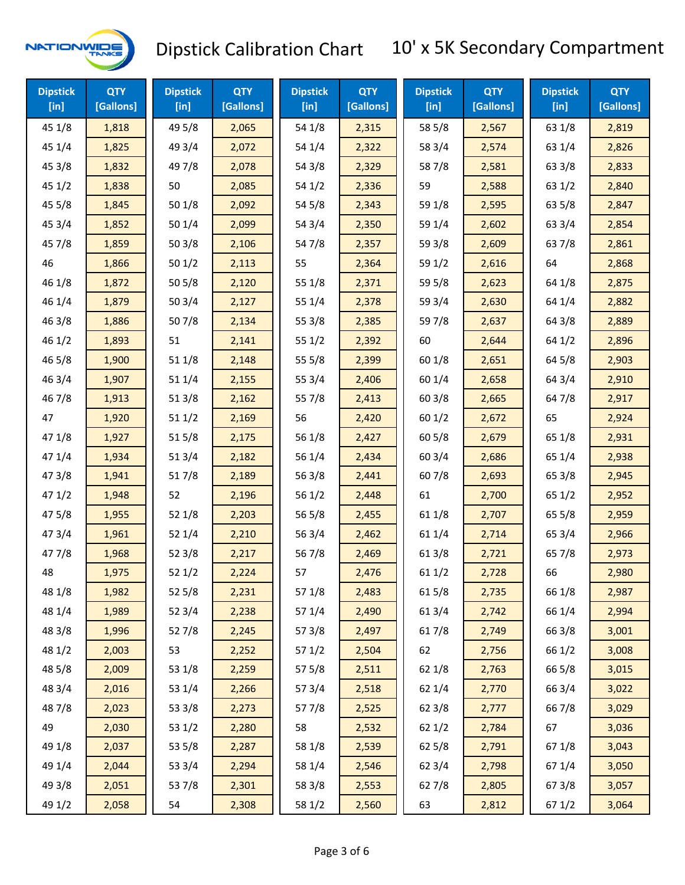

| <b>Dipstick</b><br>$[$ in] | <b>QTY</b><br>[Gallons] | <b>Dipstick</b><br>$[$ in] | <b>QTY</b><br>[Gallons] | <b>Dipstick</b><br>$[$ in] | <b>QTY</b><br>[Gallons] | <b>Dipstick</b><br>$[$ in] | <b>QTY</b><br>[Gallons] | <b>Dipstick</b><br>$[$ in] | <b>QTY</b><br>[Gallons] |
|----------------------------|-------------------------|----------------------------|-------------------------|----------------------------|-------------------------|----------------------------|-------------------------|----------------------------|-------------------------|
| 45 1/8                     | 1,818                   | 49 5/8                     | 2,065                   | 54 1/8                     | 2,315                   | 58 5/8                     | 2,567                   | 63 1/8                     | 2,819                   |
| 45 1/4                     | 1,825                   | 49 3/4                     | 2,072                   | 54 1/4                     | 2,322                   | 58 3/4                     | 2,574                   | 63 1/4                     | 2,826                   |
| 45 3/8                     | 1,832                   | 49 7/8                     | 2,078                   | 54 3/8                     | 2,329                   | 587/8                      | 2,581                   | 63 3/8                     | 2,833                   |
| 45 1/2                     | 1,838                   | 50                         | 2,085                   | 541/2                      | 2,336                   | 59                         | 2,588                   | 63 1/2                     | 2,840                   |
| 45 5/8                     | 1,845                   | 50 1/8                     | 2,092                   | 54 5/8                     | 2,343                   | 59 1/8                     | 2,595                   | 63 5/8                     | 2,847                   |
| 453/4                      | 1,852                   | 501/4                      | 2,099                   | 54 3/4                     | 2,350                   | 59 1/4                     | 2,602                   | 63 3/4                     | 2,854                   |
| 45 7/8                     | 1,859                   | 503/8                      | 2,106                   | 547/8                      | 2,357                   | 59 3/8                     | 2,609                   | 637/8                      | 2,861                   |
| 46                         | 1,866                   | 501/2                      | 2,113                   | 55                         | 2,364                   | 59 1/2                     | 2,616                   | 64                         | 2,868                   |
| 46 1/8                     | 1,872                   | 505/8                      | 2,120                   | 55 1/8                     | 2,371                   | 59 5/8                     | 2,623                   | 64 1/8                     | 2,875                   |
| 46 1/4                     | 1,879                   | 503/4                      | 2,127                   | 55 1/4                     | 2,378                   | 59 3/4                     | 2,630                   | 64 1/4                     | 2,882                   |
| 46 3/8                     | 1,886                   | 507/8                      | 2,134                   | 55 3/8                     | 2,385                   | 597/8                      | 2,637                   | 64 3/8                     | 2,889                   |
| 46 1/2                     | 1,893                   | 51                         | 2,141                   | 551/2                      | 2,392                   | 60                         | 2,644                   | 64 1/2                     | 2,896                   |
| 46 5/8                     | 1,900                   | 51 1/8                     | 2,148                   | 55 5/8                     | 2,399                   | 60 1/8                     | 2,651                   | 64 5/8                     | 2,903                   |
| 46 3/4                     | 1,907                   | 51 1/4                     | 2,155                   | 55 3/4                     | 2,406                   | 60 1/4                     | 2,658                   | 64 3/4                     | 2,910                   |
| 46 7/8                     | 1,913                   | 513/8                      | 2,162                   | 55 7/8                     | 2,413                   | 603/8                      | 2,665                   | 64 7/8                     | 2,917                   |
| 47                         | 1,920                   | 511/2                      | 2,169                   | 56                         | 2,420                   | 601/2                      | 2,672                   | 65                         | 2,924                   |
| 47 1/8                     | 1,927                   | 515/8                      | 2,175                   | 56 1/8                     | 2,427                   | 60 5/8                     | 2,679                   | 65 1/8                     | 2,931                   |
| 47 1/4                     | 1,934                   | 513/4                      | 2,182                   | 56 1/4                     | 2,434                   | 60 3/4                     | 2,686                   | 65 1/4                     | 2,938                   |
| 47 3/8                     | 1,941                   | 517/8                      | 2,189                   | 56 3/8                     | 2,441                   | 607/8                      | 2,693                   | 65 3/8                     | 2,945                   |
| 471/2                      | 1,948                   | 52                         | 2,196                   | 56 1/2                     | 2,448                   | 61                         | 2,700                   | 65 1/2                     | 2,952                   |
| 475/8                      | 1,955                   | 521/8                      | 2,203                   | 56 5/8                     | 2,455                   | 61 1/8                     | 2,707                   | 65 5/8                     | 2,959                   |
| 47 3/4                     | 1,961                   | 52 1/4                     | 2,210                   | 56 3/4                     | 2,462                   | 61 1/4                     | 2,714                   | 65 3/4                     | 2,966                   |
| 477/8                      | 1,968                   | 523/8                      | 2,217                   | 567/8                      | 2,469                   | 61 3/8                     | 2,721                   | 65 7/8                     | 2,973                   |
| 48                         | 1,975                   | 521/2                      | 2,224                   | 57                         | 2,476                   | 611/2                      | 2,728                   | 66                         | 2,980                   |
| 48 1/8                     | 1,982                   | 525/8                      | 2,231                   | 57 1/8                     | 2,483                   | 615/8                      | 2,735                   | 66 1/8                     | 2,987                   |
| 48 1/4                     | 1,989                   | 52 3/4                     | 2,238                   | 57 1/4                     | 2,490                   | 613/4                      | 2,742                   | 66 1/4                     | 2,994                   |
| 48 3/8                     | 1,996                   | 527/8                      | 2,245                   | 57 3/8                     | 2,497                   | 617/8                      | 2,749                   | 66 3/8                     | 3,001                   |
| 48 1/2                     | 2,003                   | 53                         | 2,252                   | 571/2                      | 2,504                   | 62                         | 2,756                   | 66 1/2                     | 3,008                   |
| 48 5/8                     | 2,009                   | 53 1/8                     | 2,259                   | 57 5/8                     | 2,511                   | 62 1/8                     | 2,763                   | 66 5/8                     | 3,015                   |
| 48 3/4                     | 2,016                   | 53 1/4                     | 2,266                   | 573/4                      | 2,518                   | 62 1/4                     | 2,770                   | 66 3/4                     | 3,022                   |
| 487/8                      | 2,023                   | 53 3/8                     | 2,273                   | 577/8                      | 2,525                   | 62 3/8                     | 2,777                   | 667/8                      | 3,029                   |
| 49                         | 2,030                   | 53 1/2                     | 2,280                   | 58                         | 2,532                   | 621/2                      | 2,784                   | 67                         | 3,036                   |
| 49 1/8                     | 2,037                   | 53 5/8                     | 2,287                   | 58 1/8                     | 2,539                   | 62 5/8                     | 2,791                   | 671/8                      | 3,043                   |
| 49 1/4                     | 2,044                   | 53 3/4                     | 2,294                   | 58 1/4                     | 2,546                   | 62 3/4                     | 2,798                   | 67 1/4                     | 3,050                   |
| 49 3/8                     | 2,051                   | 537/8                      | 2,301                   | 58 3/8                     | 2,553                   | 627/8                      | 2,805                   | 673/8                      | 3,057                   |
| 49 1/2                     | 2,058                   | 54                         | 2,308                   | 58 1/2                     | 2,560                   | 63                         | 2,812                   | 67 1/2                     | 3,064                   |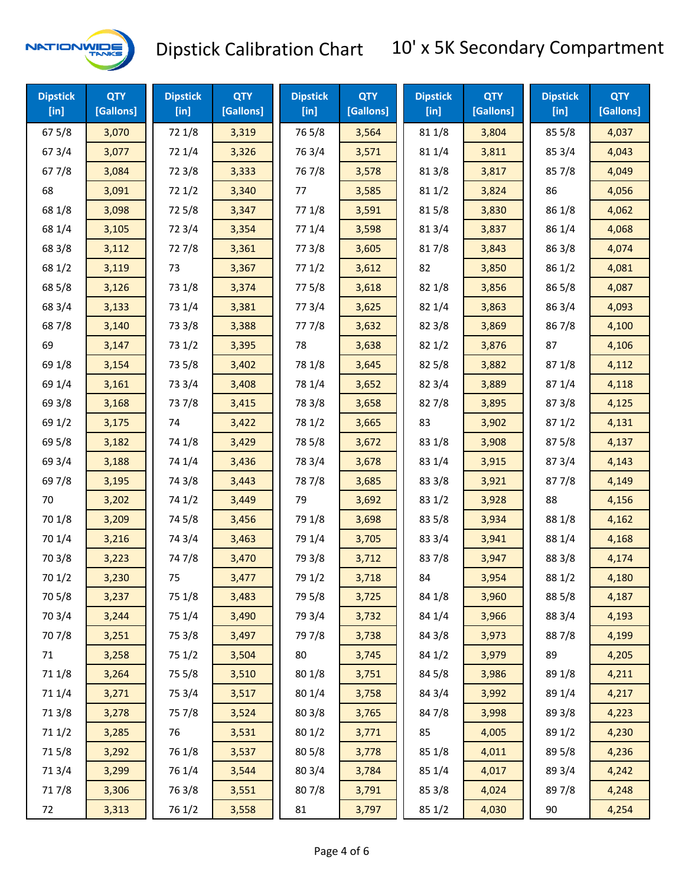

| <b>Dipstick</b><br>$[$ in] | <b>QTY</b><br>[Gallons] | <b>Dipstick</b><br>$[$ in] | <b>QTY</b><br>[Gallons] | <b>Dipstick</b><br>[in] | <b>QTY</b><br>[Gallons] | <b>Dipstick</b><br>$[$ in] | <b>QTY</b><br>[Gallons] | <b>Dipstick</b><br>$[$ in] | <b>QTY</b><br>[Gallons] |
|----------------------------|-------------------------|----------------------------|-------------------------|-------------------------|-------------------------|----------------------------|-------------------------|----------------------------|-------------------------|
| 67 5/8                     | 3,070                   | 72 1/8                     | 3,319                   | 765/8                   | 3,564                   | 81 1/8                     | 3,804                   | 855/8                      | 4,037                   |
| 67 3/4                     | 3,077                   | 72 1/4                     | 3,326                   | 763/4                   | 3,571                   | 81 1/4                     | 3,811                   | 85 3/4                     | 4,043                   |
| 67 7/8                     | 3,084                   | 72 3/8                     | 3,333                   | 767/8                   | 3,578                   | 81 3/8                     | 3,817                   | 857/8                      | 4,049                   |
| 68                         | 3,091                   | 721/2                      | 3,340                   | 77                      | 3,585                   | 81 1/2                     | 3,824                   | 86                         | 4,056                   |
| 68 1/8                     | 3,098                   | 725/8                      | 3,347                   | 77 1/8                  | 3,591                   | 815/8                      | 3,830                   | 86 1/8                     | 4,062                   |
| 68 1/4                     | 3,105                   | 72 3/4                     | 3,354                   | 77 1/4                  | 3,598                   | 813/4                      | 3,837                   | 86 1/4                     | 4,068                   |
| 68 3/8                     | 3,112                   | 727/8                      | 3,361                   | 77 3/8                  | 3,605                   | 817/8                      | 3,843                   | 86 3/8                     | 4,074                   |
| 68 1/2                     | 3,119                   | 73                         | 3,367                   | 771/2                   | 3,612                   | 82                         | 3,850                   | 86 1/2                     | 4,081                   |
| 68 5/8                     | 3,126                   | 73 1/8                     | 3,374                   | 775/8                   | 3,618                   | 82 1/8                     | 3,856                   | 86 5/8                     | 4,087                   |
| 68 3/4                     | 3,133                   | 73 1/4                     | 3,381                   | 773/4                   | 3,625                   | 82 1/4                     | 3,863                   | 86 3/4                     | 4,093                   |
| 687/8                      | 3,140                   | 73 3/8                     | 3,388                   | 777/8                   | 3,632                   | 823/8                      | 3,869                   | 867/8                      | 4,100                   |
| 69                         | 3,147                   | 73 1/2                     | 3,395                   | 78                      | 3,638                   | 82 1/2                     | 3,876                   | 87                         | 4,106                   |
| 69 1/8                     | 3,154                   | 73 5/8                     | 3,402                   | 78 1/8                  | 3,645                   | 82 5/8                     | 3,882                   | 871/8                      | 4,112                   |
| 69 1/4                     | 3,161                   | 73 3/4                     | 3,408                   | 78 1/4                  | 3,652                   | 82 3/4                     | 3,889                   | 87 1/4                     | 4,118                   |
| 69 3/8                     | 3,168                   | 737/8                      | 3,415                   | 78 3/8                  | 3,658                   | 827/8                      | 3,895                   | 87 3/8                     | 4,125                   |
| 69 1/2                     | 3,175                   | 74                         | 3,422                   | 78 1/2                  | 3,665                   | 83                         | 3,902                   | 871/2                      | 4,131                   |
| 69 5/8                     | 3,182                   | 74 1/8                     | 3,429                   | 78 5/8                  | 3,672                   | 83 1/8                     | 3,908                   | 875/8                      | 4,137                   |
| 69 3/4                     | 3,188                   | 74 1/4                     | 3,436                   | 78 3/4                  | 3,678                   | 83 1/4                     | 3,915                   | 87 3/4                     | 4,143                   |
| 697/8                      | 3,195                   | 74 3/8                     | 3,443                   | 787/8                   | 3,685                   | 83 3/8                     | 3,921                   | 877/8                      | 4,149                   |
| 70                         | 3,202                   | 74 1/2                     | 3,449                   | 79                      | 3,692                   | 83 1/2                     | 3,928                   | 88                         | 4,156                   |
| 70 1/8                     | 3,209                   | 74 5/8                     | 3,456                   | 79 1/8                  | 3,698                   | 83 5/8                     | 3,934                   | 88 1/8                     | 4,162                   |
| 70 1/4                     | 3,216                   | 74 3/4                     | 3,463                   | 79 1/4                  | 3,705                   | 83 3/4                     | 3,941                   | 88 1/4                     | 4,168                   |
| 70 3/8                     | 3,223                   | 74 7/8                     | 3,470                   | 79 3/8                  | 3,712                   | 837/8                      | 3,947                   | 88 3/8                     | 4,174                   |
| 70 1/2                     | 3,230                   | 75                         | 3,477                   | 79 1/2                  | 3,718                   | 84                         | 3,954                   | 88 1/2                     | 4,180                   |
| 70 5/8                     | 3,237                   | 75 1/8                     | 3,483                   | 79 5/8                  | 3,725                   | 84 1/8                     | 3,960                   | 88 5/8                     | 4,187                   |
| 70 3/4                     | 3,244                   | 75 1/4                     | 3,490                   | 79 3/4                  | 3,732                   | 84 1/4                     | 3,966                   | 88 3/4                     | 4,193                   |
| 70 7/8                     | 3,251                   | 75 3/8                     | 3,497                   | 79 7/8                  | 3,738                   | 84 3/8                     | 3,973                   | 887/8                      | 4,199                   |
| 71                         | 3,258                   | 75 1/2                     | 3,504                   | 80                      | 3,745                   | 84 1/2                     | 3,979                   | 89                         | 4,205                   |
| 71 1/8                     | 3,264                   | 75 5/8                     | 3,510                   | 80 1/8                  | 3,751                   | 84 5/8                     | 3,986                   | 89 1/8                     | 4,211                   |
| 71 1/4                     | 3,271                   | 75 3/4                     | 3,517                   | 80 1/4                  | 3,758                   | 84 3/4                     | 3,992                   | 89 1/4                     | 4,217                   |
| 713/8                      | 3,278                   | 75 7/8                     | 3,524                   | 80 3/8                  | 3,765                   | 847/8                      | 3,998                   | 89 3/8                     | 4,223                   |
| 71 1/2                     | 3,285                   | 76                         | 3,531                   | 80 1/2                  | 3,771                   | 85                         | 4,005                   | 89 1/2                     | 4,230                   |
| 715/8                      | 3,292                   | 76 1/8                     | 3,537                   | 80 5/8                  | 3,778                   | 85 1/8                     | 4,011                   | 89 5/8                     | 4,236                   |
| 713/4                      | 3,299                   | 76 1/4                     | 3,544                   | 80 3/4                  | 3,784                   | 85 1/4                     | 4,017                   | 89 3/4                     | 4,242                   |
| 717/8                      | 3,306                   | 763/8                      | 3,551                   | 807/8                   | 3,791                   | 85 3/8                     | 4,024                   | 897/8                      | 4,248                   |
| 72                         | 3,313                   | 76 1/2                     | 3,558                   | 81                      | 3,797                   | 85 1/2                     | 4,030                   | 90                         | 4,254                   |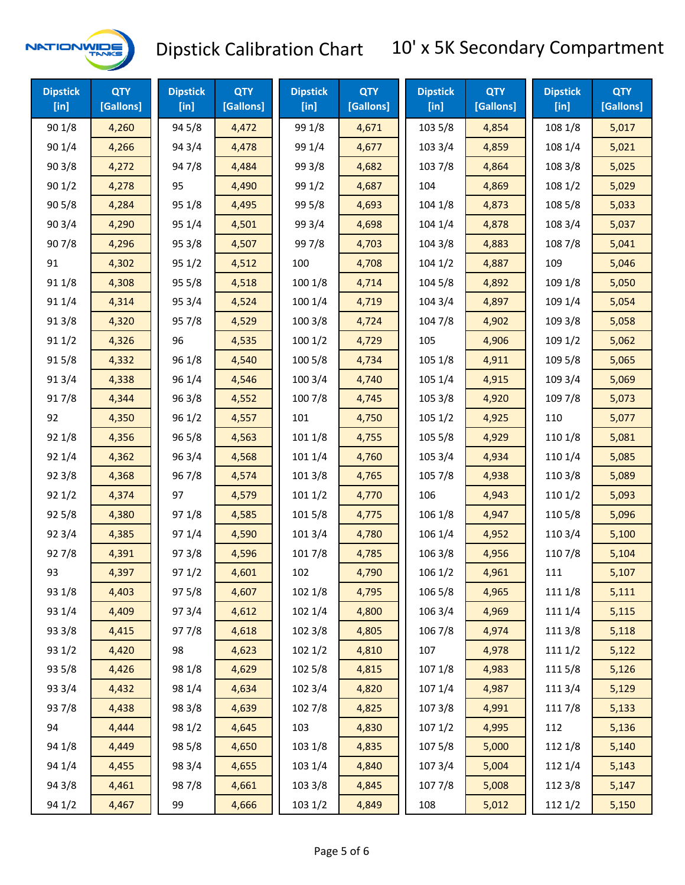

| <b>Dipstick</b><br>$[$ in] | <b>QTY</b><br>[Gallons] | <b>Dipstick</b><br>$[$ in] | <b>QTY</b><br>[Gallons] | <b>Dipstick</b><br>$[$ in] | <b>QTY</b><br>[Gallons] | <b>Dipstick</b><br>$[$ in] | <b>QTY</b><br>[Gallons] | <b>Dipstick</b><br>$[$ in] | <b>QTY</b><br>[Gallons] |
|----------------------------|-------------------------|----------------------------|-------------------------|----------------------------|-------------------------|----------------------------|-------------------------|----------------------------|-------------------------|
| 90 1/8                     | 4,260                   | 94 5/8                     | 4,472                   | 99 1/8                     | 4,671                   | 103 5/8                    | 4,854                   | 108 1/8                    | 5,017                   |
| 90 1/4                     | 4,266                   | 94 3/4                     | 4,478                   | 99 1/4                     | 4,677                   | 103 3/4                    | 4,859                   | 108 1/4                    | 5,021                   |
| 903/8                      | 4,272                   | 947/8                      | 4,484                   | 99 3/8                     | 4,682                   | 103 7/8                    | 4,864                   | 108 3/8                    | 5,025                   |
| 90 1/2                     | 4,278                   | 95                         | 4,490                   | 99 1/2                     | 4,687                   | 104                        | 4,869                   | 108 1/2                    | 5,029                   |
| 905/8                      | 4,284                   | 95 1/8                     | 4,495                   | 99 5/8                     | 4,693                   | 1041/8                     | 4,873                   | 108 5/8                    | 5,033                   |
| 90 3/4                     | 4,290                   | 95 1/4                     | 4,501                   | 99 3/4                     | 4,698                   | 104 1/4                    | 4,878                   | 108 3/4                    | 5,037                   |
| 907/8                      | 4,296                   | 95 3/8                     | 4,507                   | 997/8                      | 4,703                   | 104 3/8                    | 4,883                   | 108 7/8                    | 5,041                   |
| 91                         | 4,302                   | 95 1/2                     | 4,512                   | 100                        | 4,708                   | $104 \frac{1}{2}$          | 4,887                   | 109                        | 5,046                   |
| 91 1/8                     | 4,308                   | 95 5/8                     | 4,518                   | 100 1/8                    | 4,714                   | 104 5/8                    | 4,892                   | 109 1/8                    | 5,050                   |
| 91 1/4                     | 4,314                   | 95 3/4                     | 4,524                   | 100 1/4                    | 4,719                   | 104 3/4                    | 4,897                   | 109 1/4                    | 5,054                   |
| 91 3/8                     | 4,320                   | 95 7/8                     | 4,529                   | 100 3/8                    | 4,724                   | 104 7/8                    | 4,902                   | 109 3/8                    | 5,058                   |
| 911/2                      | 4,326                   | 96                         | 4,535                   | 1001/2                     | 4,729                   | 105                        | 4,906                   | 109 1/2                    | 5,062                   |
| 915/8                      | 4,332                   | 96 1/8                     | 4,540                   | 100 5/8                    | 4,734                   | 105 1/8                    | 4,911                   | 109 5/8                    | 5,065                   |
| 913/4                      | 4,338                   | 96 1/4                     | 4,546                   | 100 3/4                    | 4,740                   | 105 1/4                    | 4,915                   | 109 3/4                    | 5,069                   |
| 917/8                      | 4,344                   | 96 3/8                     | 4,552                   | 100 7/8                    | 4,745                   | 105 3/8                    | 4,920                   | 109 7/8                    | 5,073                   |
| 92                         | 4,350                   | 96 1/2                     | 4,557                   | 101                        | 4,750                   | 1051/2                     | 4,925                   | 110                        | 5,077                   |
| 92 1/8                     | 4,356                   | 96 5/8                     | 4,563                   | 101 1/8                    | 4,755                   | 105 5/8                    | 4,929                   | 110 1/8                    | 5,081                   |
| 92 1/4                     | 4,362                   | 96 3/4                     | 4,568                   | 101 1/4                    | 4,760                   | 105 3/4                    | 4,934                   | 110 1/4                    | 5,085                   |
| 92 3/8                     | 4,368                   | 96 7/8                     | 4,574                   | 101 3/8                    | 4,765                   | 105 7/8                    | 4,938                   | 110 3/8                    | 5,089                   |
| 92 1/2                     | 4,374                   | 97                         | 4,579                   | 1011/2                     | 4,770                   | 106                        | 4,943                   | 110 1/2                    | 5,093                   |
| 92 5/8                     | 4,380                   | 97 1/8                     | 4,585                   | 101 5/8                    | 4,775                   | 106 1/8                    | 4,947                   | 110 5/8                    | 5,096                   |
| 92 3/4                     | 4,385                   | 97 1/4                     | 4,590                   | 101 3/4                    | 4,780                   | 106 1/4                    | 4,952                   | 110 3/4                    | 5,100                   |
| 927/8                      | 4,391                   | 973/8                      | 4,596                   | 101 7/8                    | 4,785                   | 106 3/8                    | 4,956                   | 110 7/8                    | 5,104                   |
| 93                         | 4,397                   | 971/2                      | 4,601                   | 102                        | 4,790                   | 106 1/2                    | 4,961                   | 111                        | 5,107                   |
| 93 1/8                     | 4,403                   | 975/8                      | 4,607                   | 102 1/8                    | 4,795                   | 106 5/8                    | 4,965                   | 111 1/8                    | 5,111                   |
| 93 1/4                     | 4,409                   | 973/4                      | 4,612                   | 102 1/4                    | 4,800                   | 106 3/4                    | 4,969                   | 111 1/4                    | 5,115                   |
| 93 3/8                     | 4,415                   | 977/8                      | 4,618                   | 102 3/8                    | 4,805                   | 106 7/8                    | 4,974                   | 111 3/8                    | 5,118                   |
| 93 1/2                     | 4,420                   | 98                         | 4,623                   | 102 1/2                    | 4,810                   | 107                        | 4,978                   | 1111/2                     | 5,122                   |
| 93 5/8                     | 4,426                   | 98 1/8                     | 4,629                   | 102 5/8                    | 4,815                   | 107 1/8                    | 4,983                   | 1115/8                     | 5,126                   |
| 93 3/4                     | 4,432                   | 98 1/4                     | 4,634                   | 102 3/4                    | 4,820                   | 107 1/4                    | 4,987                   | 111 3/4                    | 5,129                   |
| 937/8                      | 4,438                   | 98 3/8                     | 4,639                   | 102 7/8                    | 4,825                   | 1073/8                     | 4,991                   | 111 7/8                    | 5,133                   |
| 94                         | 4,444                   | 98 1/2                     | 4,645                   | 103                        | 4,830                   | 1071/2                     | 4,995                   | 112                        | 5,136                   |
| 94 1/8                     | 4,449                   | 98 5/8                     | 4,650                   | 103 1/8                    | 4,835                   | 1075/8                     | 5,000                   | 112 1/8                    | 5,140                   |
| 94 1/4                     | 4,455                   | 98 3/4                     | 4,655                   | 103 1/4                    | 4,840                   | 107 3/4                    | 5,004                   | 112 1/4                    | 5,143                   |
| 94 3/8                     | 4,461                   | 987/8                      | 4,661                   | 103 3/8                    | 4,845                   | 1077/8                     | 5,008                   | 112 3/8                    | 5,147                   |
| 94 1/2                     | 4,467                   | 99                         | 4,666                   | 103 1/2                    | 4,849                   | 108                        | 5,012                   | 112 1/2                    | 5,150                   |